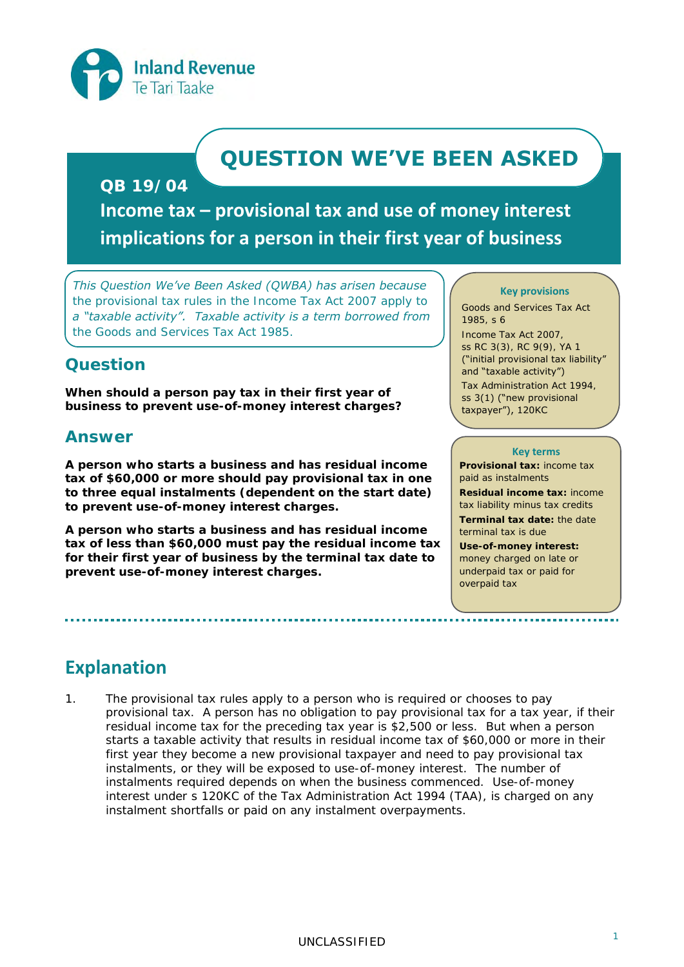

# **QUESTION WE'VE BEEN ASKED**

## **QB 19/04**

**Income tax – provisional tax and use of money interest implications for a person in their first year of business** 

*This Question We've Been Asked (QWBA) has arisen because the provisional tax rules in the Income Tax Act 2007 apply to a "taxable activity". Taxable activity is a term borrowed from the Goods and Services Tax Act 1985.* 

## **Question**

**When should a person pay tax in their first year of business to prevent use-of-money interest charges?**

## **Answer**

**A person who starts a business and has residual income tax of \$60,000 or more should pay provisional tax in one to three equal instalments (dependent on the start date) to prevent use-of-money interest charges.** 

**A person who starts a business and has residual income tax of less than \$60,000 must pay the residual income tax for their first year of business by the terminal tax date to prevent use-of-money interest charges.** 

#### **Key provisions**

Goods and Services Tax Act 1985, s 6

Income Tax Act 2007, ss RC 3(3), RC 9(9), YA 1 ("initial provisional tax liability" and "taxable activity") Tax Administration Act 1994, ss 3(1) ("new provisional taxpayer"), 120KC

#### **Key terms**

**Provisional tax:** income tax paid as instalments **Residual income tax:** income tax liability minus tax credits **Terminal tax date:** the date terminal tax is due **Use-of-money interest:** money charged on late or underpaid tax or paid for

overpaid tax

## **Explanation**

1. The provisional tax rules apply to a person who is required or chooses to pay provisional tax. A person has no obligation to pay provisional tax for a tax year, if their residual income tax for the preceding tax year is \$2,500 or less. But when a person starts a taxable activity that results in residual income tax of \$60,000 or more in their first year they become a new provisional taxpayer and need to pay provisional tax instalments, or they will be exposed to use-of-money interest. The number of instalments required depends on when the business commenced. Use-of-money interest under s 120KC of the Tax Administration Act 1994 (TAA), is charged on any instalment shortfalls or paid on any instalment overpayments.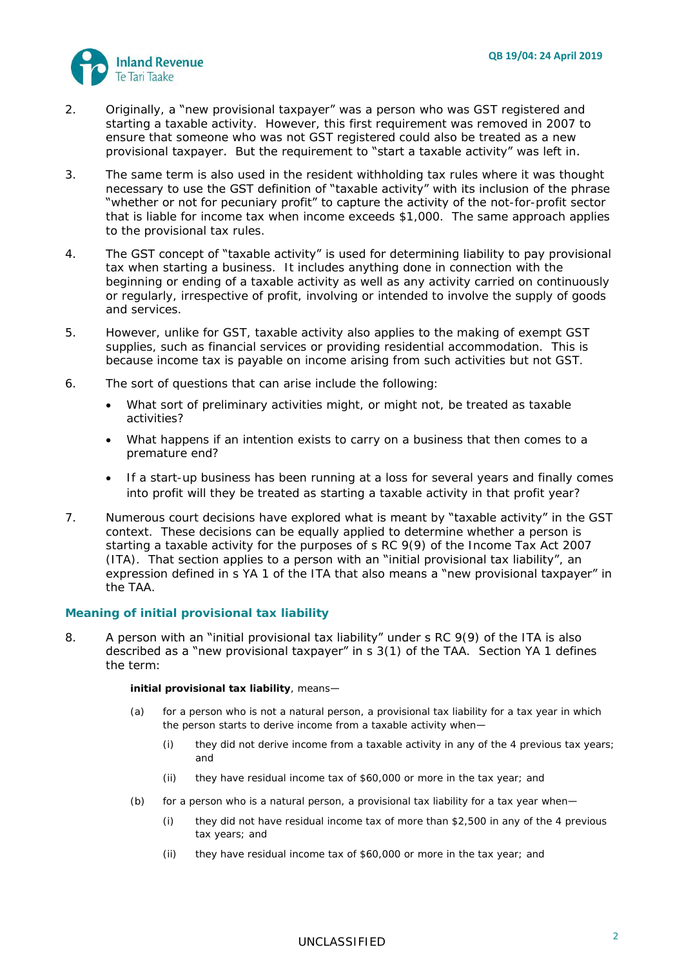

- 2. Originally, a "new provisional taxpayer" was a person who was GST registered and starting a taxable activity. However, this first requirement was removed in 2007 to ensure that someone who was not GST registered could also be treated as a new provisional taxpayer. But the requirement to "start a taxable activity" was left in.
- 3. The same term is also used in the resident withholding tax rules where it was thought necessary to use the GST definition of "taxable activity" with its inclusion of the phrase "whether or not for pecuniary profit" to capture the activity of the not-for-profit sector that is liable for income tax when income exceeds \$1,000. The same approach applies to the provisional tax rules.
- 4. The GST concept of "taxable activity" is used for determining liability to pay provisional tax when starting a business. It includes anything done in connection with the beginning or ending of a taxable activity as well as any activity carried on continuously or regularly, irrespective of profit, involving or intended to involve the supply of goods and services.
- 5. However, unlike for GST, taxable activity also applies to the making of exempt GST supplies, such as financial services or providing residential accommodation. This is because income tax is payable on income arising from such activities but not GST.
- 6. The sort of questions that can arise include the following:
	- What sort of preliminary activities might, or might not, be treated as taxable activities?
	- What happens if an intention exists to carry on a business that then comes to a premature end?
	- If a start-up business has been running at a loss for several years and finally comes into profit will they be treated as starting a taxable activity in that profit year?
- 7. Numerous court decisions have explored what is meant by "taxable activity" in the GST context. These decisions can be equally applied to determine whether a person is starting a taxable activity for the purposes of s RC 9(9) of the Income Tax Act 2007 (ITA). That section applies to a person with an "initial provisional tax liability", an expression defined in s YA 1 of the ITA that also means a "new provisional taxpayer" in the TAA.

#### **Meaning of initial provisional tax liability**

8. A person with an "initial provisional tax liability" under s RC 9(9) of the ITA is also described as a "new provisional taxpayer" in s 3(1) of the TAA. Section YA 1 defines the term:

**initial provisional tax liability***,* means*—*

- (a) for a person who is not a natural person, a provisional tax liability for a tax year in which the person starts to derive income from a taxable activity when—
	- (i) they did not derive income from a taxable activity in any of the 4 previous tax years; and
	- (ii) they have residual income tax of \$60,000 or more in the tax year; and
- (b) for a person who is a natural person, a provisional tax liability for a tax year when—
	- (i) they did not have residual income tax of more than \$2,500 in any of the 4 previous tax years; and
	- (ii) they have residual income tax of \$60,000 or more in the tax year; and

## <sup>2</sup> UNCLASSIFIED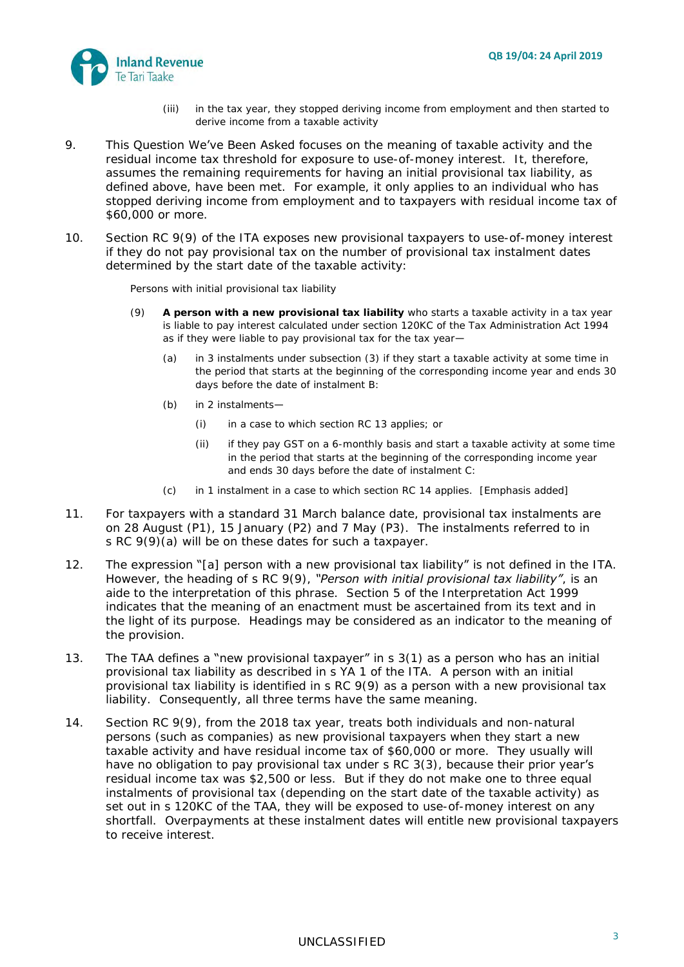

- (iii) in the tax year, they stopped deriving income from employment and then started to derive income from a taxable activity
- 9. This Question We've Been Asked focuses on the meaning of taxable activity and the residual income tax threshold for exposure to use-of-money interest. It, therefore, assumes the remaining requirements for having an initial provisional tax liability, as defined above, have been met. For example, it only applies to an individual who has stopped deriving income from employment and to taxpayers with residual income tax of \$60,000 or more.
- 10. Section RC 9(9) of the ITA exposes new provisional taxpayers to use-of-money interest if they do not pay provisional tax on the number of provisional tax instalment dates determined by the start date of the taxable activity:

*Persons with initial provisional tax liability*

- (9) **A person with a new provisional tax liability** who starts a taxable activity in a tax year is liable to pay interest calculated under section 120KC of the Tax Administration Act 1994 as if they were liable to pay provisional tax for the tax year—
	- (a) in 3 instalments under subsection (3) if they start a taxable activity at some time in the period that starts at the beginning of the corresponding income year and ends 30 days before the date of instalment B:
	- (b) in 2 instalments—
		- (i) in a case to which section RC 13 applies; or
		- (ii) if they pay GST on a 6-monthly basis and start a taxable activity at some time in the period that starts at the beginning of the corresponding income year and ends 30 days before the date of instalment C:
	- (c) in 1 instalment in a case to which section RC 14 applies. [Emphasis added]
- 11. For taxpayers with a standard 31 March balance date, provisional tax instalments are on 28 August (P1), 15 January (P2) and 7 May (P3). The instalments referred to in s RC 9(9)(a) will be on these dates for such a taxpayer.
- 12. The expression "[a] person with a new provisional tax liability" is not defined in the ITA. However, the heading of s RC 9(9), *"Person with initial provisional tax liability"*, is an aide to the interpretation of this phrase. Section 5 of the Interpretation Act 1999 indicates that the meaning of an enactment must be ascertained from its text and in the light of its purpose. Headings may be considered as an indicator to the meaning of the provision.
- 13. The TAA defines a "new provisional taxpayer" in s 3(1) as a person who has an initial provisional tax liability as described in s YA 1 of the ITA. A person with an initial provisional tax liability is identified in s RC 9(9) as a person with a new provisional tax liability. Consequently, all three terms have the same meaning.
- 14. Section RC 9(9), from the 2018 tax year, treats both individuals and non-natural persons (such as companies) as new provisional taxpayers when they start a new taxable activity and have residual income tax of \$60,000 or more. They usually will have no obligation to pay provisional tax under s RC 3(3), because their prior year's residual income tax was \$2,500 or less. But if they do not make one to three equal instalments of provisional tax (depending on the start date of the taxable activity) as set out in s 120KC of the TAA, they will be exposed to use-of-money interest on any shortfall. Overpayments at these instalment dates will entitle new provisional taxpayers to receive interest.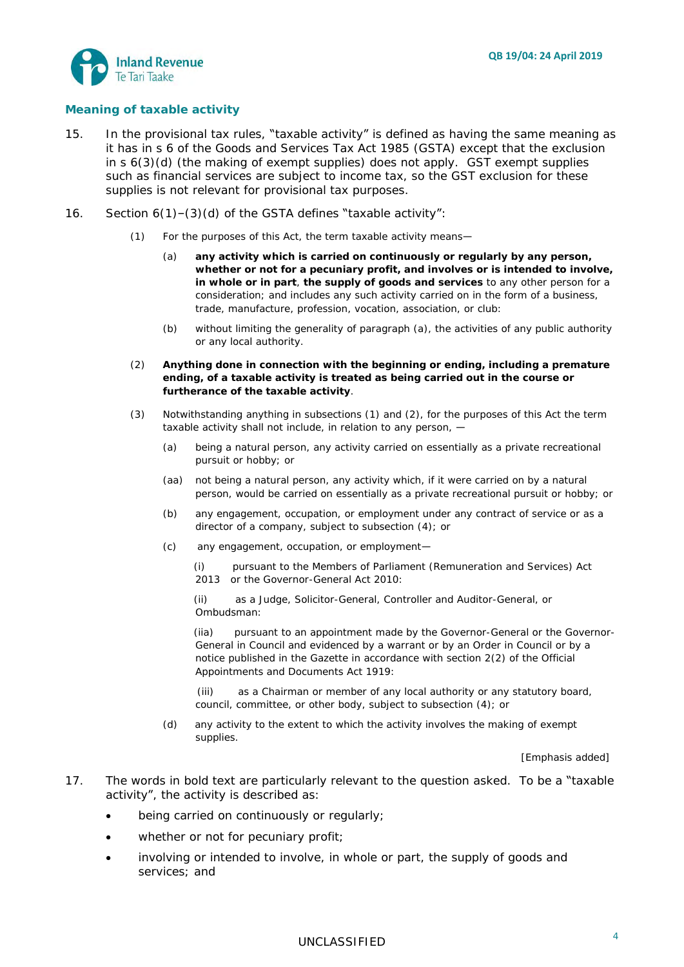

#### **Meaning of taxable activity**

- 15. In the provisional tax rules, "taxable activity" is defined as having the same meaning as it has in s 6 of the Goods and Services Tax Act 1985 (GSTA) except that the exclusion in s 6(3)(d) (the making of exempt supplies) does not apply. GST exempt supplies such as financial services are subject to income tax, so the GST exclusion for these supplies is not relevant for provisional tax purposes.
- 16. Section 6(1)–(3)(d) of the GSTA defines "taxable activity":
	- (1) For the purposes of this Act, the term taxable activity means—
		- (a) **any activity which is carried on continuously or regularly by any person, whether or not for a pecuniary profit, and involves or is intended to involve, in whole or in part**, **the supply of goods and services** to any other person for a consideration; and includes any such activity carried on in the form of a business, trade, manufacture, profession, vocation, association, or club:
		- (b) without limiting the generality of paragraph (a), the activities of any public authority or any local authority.
	- (2) **Anything done in connection with the beginning or ending, including a premature ending, of a taxable activity is treated as being carried out in the course or furtherance of the taxable activity**.
	- (3) Notwithstanding anything in subsections (1) and (2), for the purposes of this Act the term taxable activity shall not include, in relation to any person, —
		- (a) being a natural person, any activity carried on essentially as a private recreational pursuit or hobby; or
		- (aa) not being a natural person, any activity which, if it were carried on by a natural person, would be carried on essentially as a private recreational pursuit or hobby; or
		- (b) any engagement, occupation, or employment under any contract of service or as a director of a company, subject to subsection (4); or
		- (c) any engagement, occupation, or employment—
			- (i) pursuant to the [Members of Parliament \(Remuneration and Services\) Act](http://www.legislation.govt.nz/act/public/1985/0141/143.0/link.aspx?id=DLM4034212#DLM4034212)  [2013](http://www.legislation.govt.nz/act/public/1985/0141/143.0/link.aspx?id=DLM4034212#DLM4034212) or the [Governor-General Act 2010:](http://www.legislation.govt.nz/act/public/1985/0141/143.0/link.aspx?id=DLM2999100#DLM2999100)

 (ii) as a Judge, Solicitor-General, Controller and Auditor-General, or Ombudsman:

 (iia) pursuant to an appointment made by the Governor-General or the Governor-General in Council and evidenced by a warrant or by an Order in Council or by a notice published in the *Gazette* in accordance with section 2(2) of the Official Appointments and Documents Act 1919:

 (iii) as a Chairman or member of any local authority or any statutory board, council, committee, or other body, subject to subsection (4); or

(d) any activity to the extent to which the activity involves the making of exempt supplies.

[Emphasis added]

- 17. The words in bold text are particularly relevant to the question asked. To be a "taxable activity", the activity is described as:
	- being carried on continuously or regularly;
	- whether or not for pecuniary profit;
	- involving or intended to involve, in whole or part, the supply of goods and services; and

## <sup>4</sup> UNCLASSIFIED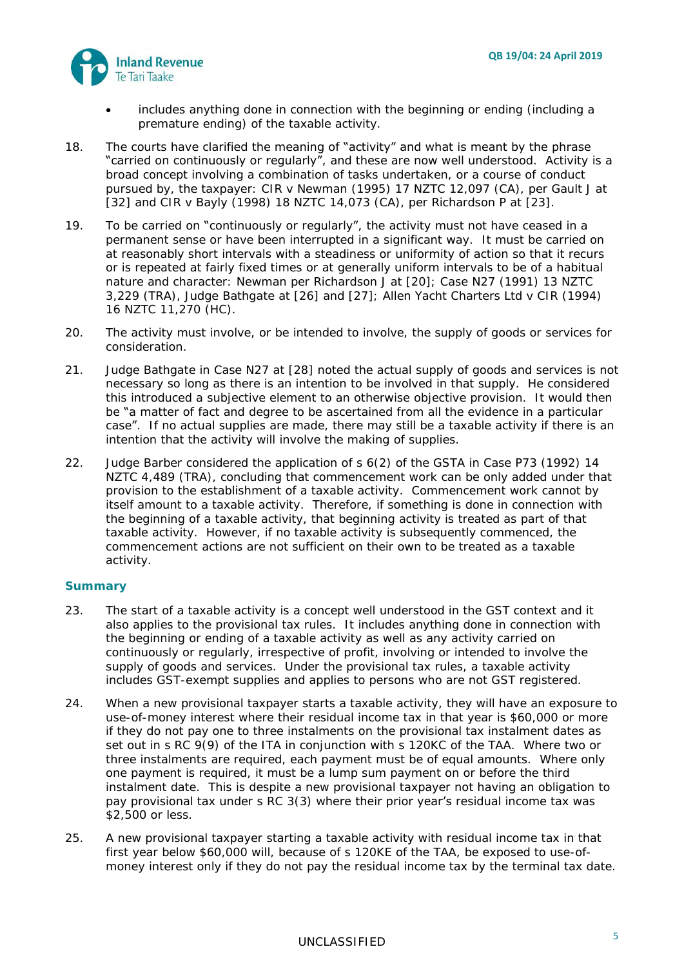

- includes anything done in connection with the beginning or ending (including a premature ending) of the taxable activity.
- 18. The courts have clarified the meaning of "activity" and what is meant by the phrase "carried on continuously or regularly", and these are now well understood. Activity is a broad concept involving a combination of tasks undertaken, or a course of conduct pursued by, the taxpayer: *CIR v Newman* (1995) 17 NZTC 12,097 (CA), per Gault J at [32] and *CIR v Bayly* (1998) 18 NZTC 14,073 (CA), per Richardson P at [23].
- 19. To be carried on "continuously or regularly", the activity must not have ceased in a permanent sense or have been interrupted in a significant way. It must be carried on at reasonably short intervals with a steadiness or uniformity of action so that it recurs or is repeated at fairly fixed times or at generally uniform intervals to be of a habitual nature and character: *Newman* per Richardson J at [20]; *Case N27* (1991) 13 NZTC 3,229 (TRA), Judge Bathgate at [26] and [27]; *Allen Yacht Charters Ltd v CIR* (1994) 16 NZTC 11,270 (HC).
- 20. The activity must involve, or be intended to involve, the supply of goods or services for consideration.
- 21. Judge Bathgate in *Case N27* at [28] noted the actual supply of goods and services is not necessary so long as there is an intention to be involved in that supply. He considered this introduced a subjective element to an otherwise objective provision. It would then be "a matter of fact and degree to be ascertained from all the evidence in a particular case". If no actual supplies are made, there may still be a taxable activity if there is an intention that the activity will involve the making of supplies.
- 22. Judge Barber considered the application of s 6(2) of the GSTA in *Case P73* (1992) 14 NZTC 4,489 (TRA), concluding that commencement work can be only added under that provision to the establishment of a taxable activity. Commencement work cannot by itself amount to a taxable activity. Therefore, if something is done in connection with the beginning of a taxable activity, that beginning activity is treated as part of that taxable activity. However, if no taxable activity is subsequently commenced, the commencement actions are not sufficient on their own to be treated as a taxable activity.

#### **Summary**

- 23. The start of a taxable activity is a concept well understood in the GST context and it also applies to the provisional tax rules. It includes anything done in connection with the beginning or ending of a taxable activity as well as any activity carried on continuously or regularly, irrespective of profit, involving or intended to involve the supply of goods and services. Under the provisional tax rules, a taxable activity includes GST-exempt supplies and applies to persons who are not GST registered.
- 24. When a new provisional taxpayer starts a taxable activity, they will have an exposure to use-of-money interest where their residual income tax in that year is \$60,000 or more if they do not pay one to three instalments on the provisional tax instalment dates as set out in s RC 9(9) of the ITA in conjunction with s 120KC of the TAA. Where two or three instalments are required, each payment must be of equal amounts. Where only one payment is required, it must be a lump sum payment on or before the third instalment date. This is despite a new provisional taxpayer not having an obligation to pay provisional tax under s RC 3(3) where their prior year's residual income tax was \$2,500 or less.
- 25. A new provisional taxpayer starting a taxable activity with residual income tax in that first year below \$60,000 will, because of s 120KE of the TAA, be exposed to use-ofmoney interest only if they do not pay the residual income tax by the terminal tax date.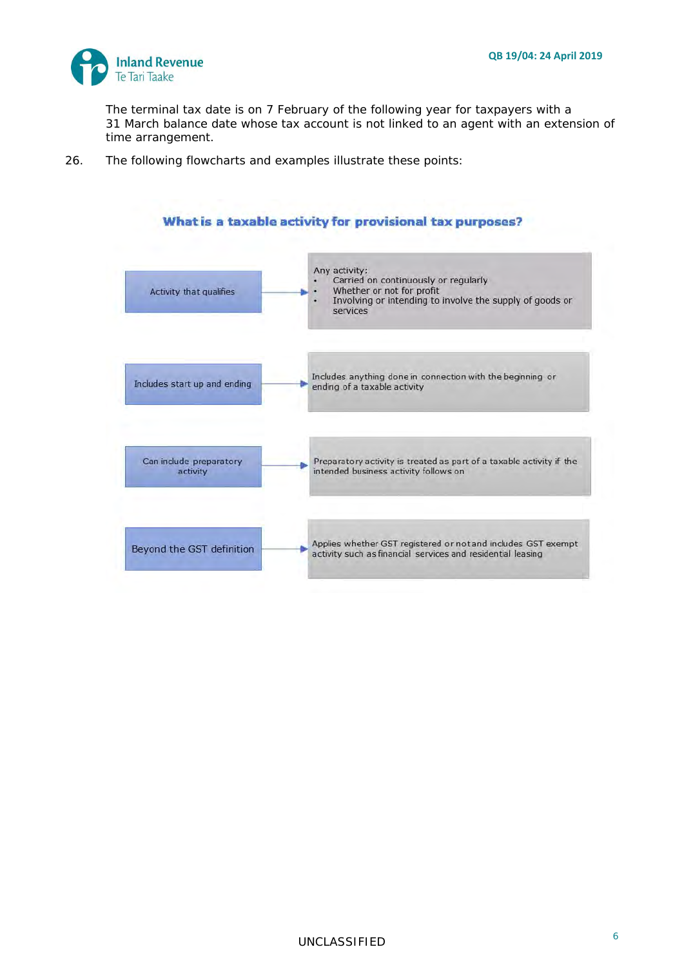

The terminal tax date is on 7 February of the following year for taxpayers with a 31 March balance date whose tax account is not linked to an agent with an extension of time arrangement.

26. The following flowcharts and examples illustrate these points:

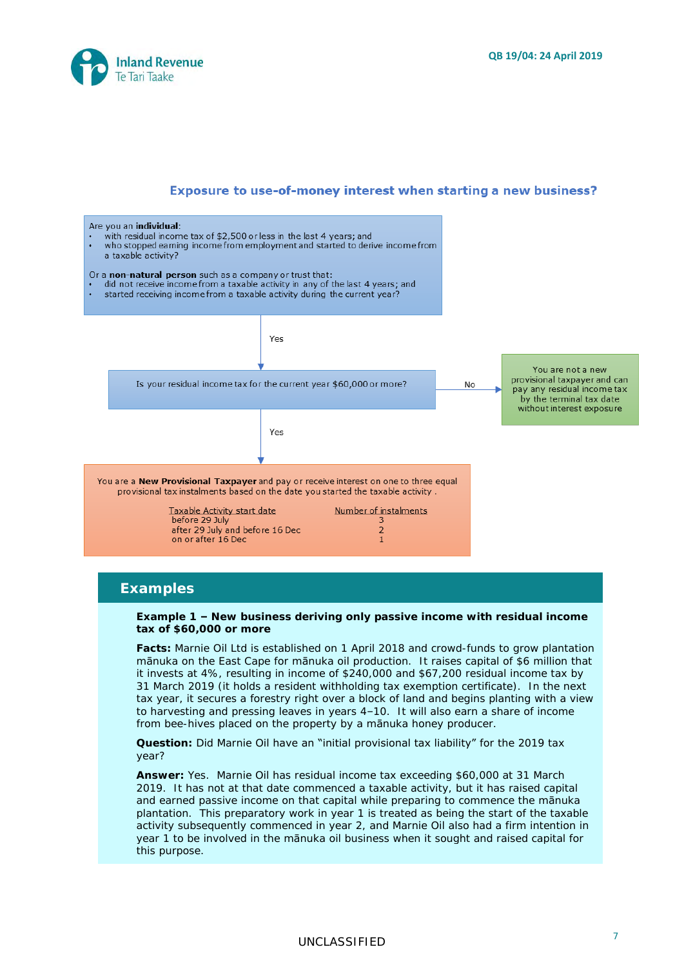



### **Examples**

**Example 1 – New business deriving only passive income with residual income tax of \$60,000 or more**

**Facts:** Marnie Oil Ltd is established on 1 April 2018 and crowd-funds to grow plantation mānuka on the East Cape for mānuka oil production. It raises capital of \$6 million that it invests at 4%, resulting in income of \$240,000 and \$67,200 residual income tax by 31 March 2019 (it holds a resident withholding tax exemption certificate). In the next tax year, it secures a forestry right over a block of land and begins planting with a view to harvesting and pressing leaves in years 4–10. It will also earn a share of income from bee-hives placed on the property by a mānuka honey producer.

**Question:** Did Marnie Oil have an "initial provisional tax liability" for the 2019 tax year?

**Answer:** Yes. Marnie Oil has residual income tax exceeding \$60,000 at 31 March 2019. It has not at that date commenced a taxable activity, but it has raised capital and earned passive income on that capital while preparing to commence the mānuka plantation. This preparatory work in year 1 is treated as being the start of the taxable activity subsequently commenced in year 2, and Marnie Oil also had a firm intention in year 1 to be involved in the manuka oil business when it sought and raised capital for this purpose.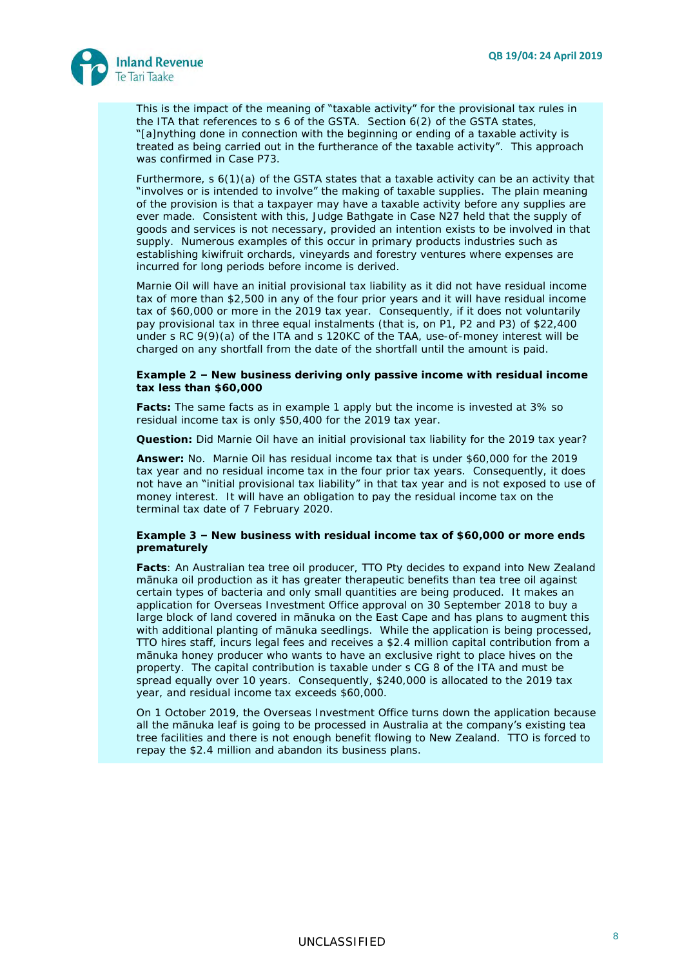

This is the impact of the meaning of "taxable activity" for the provisional tax rules in the ITA that references to s 6 of the GSTA. Section 6(2) of the GSTA states, "[a]nything done in connection with the beginning or ending of a taxable activity is treated as being carried out in the furtherance of the taxable activity". This approach was confirmed in *Case P73*.

Furthermore, s 6(1)(a) of the GSTA states that a taxable activity can be an activity that "involves or is intended to involve" the making of taxable supplies. The plain meaning of the provision is that a taxpayer may have a taxable activity before any supplies are ever made. Consistent with this, Judge Bathgate in *Case N27* held that the supply of goods and services is not necessary, provided an intention exists to be involved in that supply. Numerous examples of this occur in primary products industries such as establishing kiwifruit orchards, vineyards and forestry ventures where expenses are incurred for long periods before income is derived.

Marnie Oil will have an initial provisional tax liability as it did not have residual income tax of more than \$2,500 in any of the four prior years and it will have residual income tax of \$60,000 or more in the 2019 tax year. Consequently, if it does not voluntarily pay provisional tax in three equal instalments (that is, on P1, P2 and P3) of \$22,400 under s RC 9(9)(a) of the ITA and s 120KC of the TAA, use-of-money interest will be charged on any shortfall from the date of the shortfall until the amount is paid.

**Example 2 – New business deriving only passive income with residual income tax less than \$60,000**

**Facts:** The same facts as in example 1 apply but the income is invested at 3% so residual income tax is only \$50,400 for the 2019 tax year.

**Question:** Did Marnie Oil have an initial provisional tax liability for the 2019 tax year?

*Answer:* No. Marnie Oil has residual income tax that is under \$60,000 for the 2019 tax year and no residual income tax in the four prior tax years. Consequently, it does not have an "initial provisional tax liability" in that tax year and is not exposed to use of money interest. It will have an obligation to pay the residual income tax on the terminal tax date of 7 February 2020.

**Example 3 – New business with residual income tax of \$60,000 or more ends prematurely** 

**Facts**: An Australian tea tree oil producer, TTO Pty decides to expand into New Zealand mānuka oil production as it has greater therapeutic benefits than tea tree oil against certain types of bacteria and only small quantities are being produced. It makes an application for Overseas Investment Office approval on 30 September 2018 to buy a large block of land covered in manuka on the East Cape and has plans to augment this with additional planting of manuka seedlings. While the application is being processed, TTO hires staff, incurs legal fees and receives a \$2.4 million capital contribution from a mānuka honey producer who wants to have an exclusive right to place hives on the property. The capital contribution is taxable under s CG 8 of the ITA and must be spread equally over 10 years. Consequently, \$240,000 is allocated to the 2019 tax year, and residual income tax exceeds \$60,000.

On 1 October 2019, the Overseas Investment Office turns down the application because all the mānuka leaf is going to be processed in Australia at the company's existing tea tree facilities and there is not enough benefit flowing to New Zealand. TTO is forced to repay the \$2.4 million and abandon its business plans.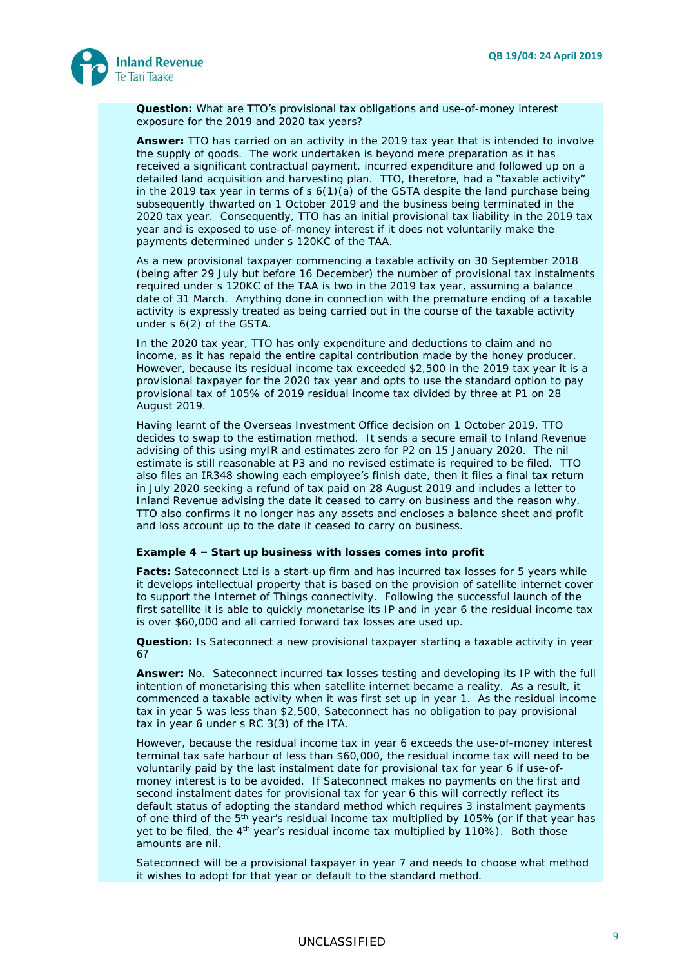

**Question:** What are TTO's provisional tax obligations and use-of-money interest exposure for the 2019 and 2020 tax years?

**Answer:** TTO has carried on an activity in the 2019 tax year that is intended to involve the supply of goods. The work undertaken is beyond mere preparation as it has received a significant contractual payment, incurred expenditure and followed up on a detailed land acquisition and harvesting plan. TTO, therefore, had a "taxable activity" in the 2019 tax year in terms of  $s$  6(1)(a) of the GSTA despite the land purchase being subsequently thwarted on 1 October 2019 and the business being terminated in the 2020 tax year. Consequently, TTO has an initial provisional tax liability in the 2019 tax year and is exposed to use-of-money interest if it does not voluntarily make the payments determined under s 120KC of the TAA.

As a new provisional taxpayer commencing a taxable activity on 30 September 2018 (being after 29 July but before 16 December) the number of provisional tax instalments required under s 120KC of the TAA is two in the 2019 tax year, assuming a balance date of 31 March. Anything done in connection with the premature ending of a taxable activity is expressly treated as being carried out in the course of the taxable activity under s 6(2) of the GSTA.

In the 2020 tax year, TTO has only expenditure and deductions to claim and no income, as it has repaid the entire capital contribution made by the honey producer. However, because its residual income tax exceeded \$2,500 in the 2019 tax year it is a provisional taxpayer for the 2020 tax year and opts to use the standard option to pay provisional tax of 105% of 2019 residual income tax divided by three at P1 on 28 August 2019.

Having learnt of the Overseas Investment Office decision on 1 October 2019, TTO decides to swap to the estimation method. It sends a secure email to Inland Revenue advising of this using myIR and estimates zero for P2 on 15 January 2020. The nil estimate is still reasonable at P3 and no revised estimate is required to be filed. TTO also files an IR348 showing each employee's finish date, then it files a final tax return in July 2020 seeking a refund of tax paid on 28 August 2019 and includes a letter to Inland Revenue advising the date it ceased to carry on business and the reason why. TTO also confirms it no longer has any assets and encloses a balance sheet and profit and loss account up to the date it ceased to carry on business.

**Example 4 – Start up business with losses comes into profit**

**Facts:** Sateconnect Ltd is a start-up firm and has incurred tax losses for 5 years while it develops intellectual property that is based on the provision of satellite internet cover to support the Internet of Things connectivity. Following the successful launch of the first satellite it is able to quickly monetarise its IP and in year 6 the residual income tax is over \$60,000 and all carried forward tax losses are used up.

**Question:** Is Sateconnect a new provisional taxpayer starting a taxable activity in year 6?

**Answer:** No. Sateconnect incurred tax losses testing and developing its IP with the full intention of monetarising this when satellite internet became a reality. As a result, it commenced a taxable activity when it was first set up in year 1. As the residual income tax in year 5 was less than \$2,500, Sateconnect has no obligation to pay provisional tax in year 6 under s RC 3(3) of the ITA.

However, because the residual income tax in year 6 exceeds the use-of-money interest terminal tax safe harbour of less than \$60,000, the residual income tax will need to be voluntarily paid by the last instalment date for provisional tax for year 6 if use-ofmoney interest is to be avoided. If Sateconnect makes no payments on the first and second instalment dates for provisional tax for year 6 this will correctly reflect its default status of adopting the standard method which requires 3 instalment payments of one third of the  $5<sup>th</sup>$  year's residual income tax multiplied by 105% (or if that year has yet to be filed, the  $4<sup>th</sup>$  year's residual income tax multiplied by 110%). Both those amounts are nil.

Sateconnect will be a provisional taxpayer in year 7 and needs to choose what method it wishes to adopt for that year or default to the standard method.